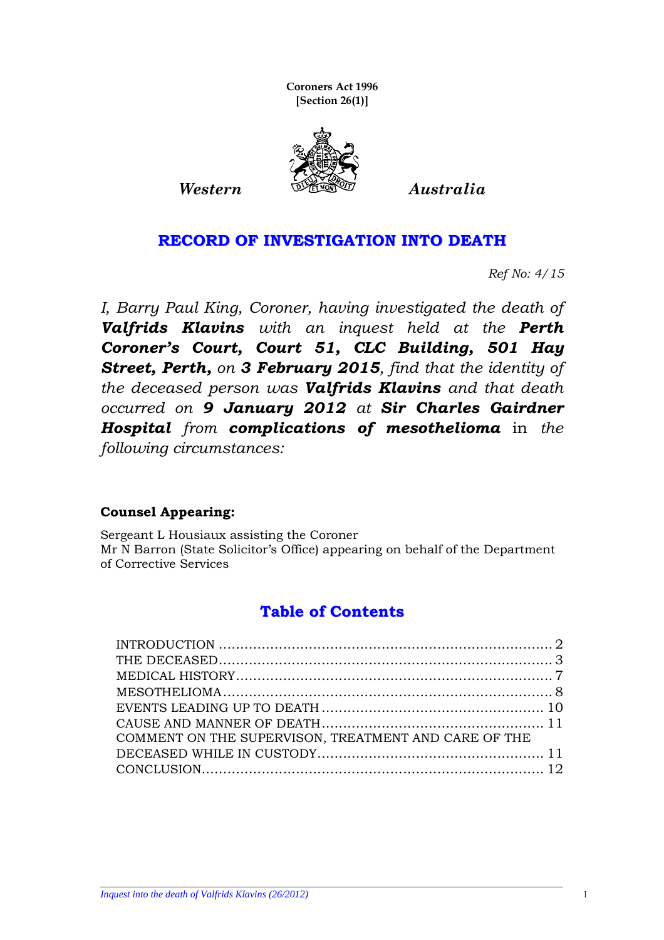**Coroners Act 1996 [Section 26(1)]** 



*Western Australia* 

## **RECORD OF INVESTIGATION INTO DEATH**

*Ref No: 4/15* 

*I, Barry Paul King, Coroner, having investigated the death of Valfrids Klavins with an inquest held at the Perth Coroner's Court, Court 51, CLC Building, 501 Hay Street, Perth, on 3 February 2015, find that the identity of the deceased person was Valfrids Klavins and that death occurred on 9 January 2012 at Sir Charles Gairdner Hospital from complications of mesothelioma* in *the following circumstances:* 

## **Counsel Appearing:**

Sergeant L Housiaux assisting the Coroner Mr N Barron (State Solicitor's Office) appearing on behalf of the Department of Corrective Services

# **Table of Contents**

| COMMENT ON THE SUPERVISON, TREATMENT AND CARE OF THE |  |
|------------------------------------------------------|--|
|                                                      |  |
|                                                      |  |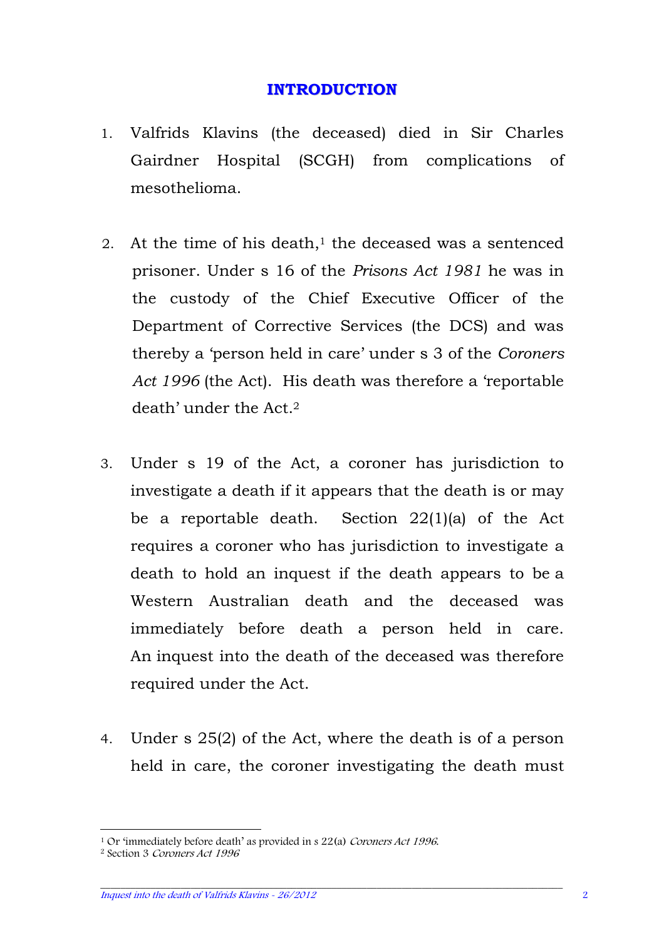## **INTRODUCTION**

- 1. Valfrids Klavins (the deceased) died in Sir Charles Gairdner Hospital (SCGH) from complications of mesothelioma.
- 2. At the time of his death, $<sup>1</sup>$  the deceased was a sentenced</sup> prisoner. Under s 16 of the *Prisons Act 1981* he was in the custody of the Chief Executive Officer of the Department of Corrective Services (the DCS) and was thereby a 'person held in care' under s 3 of the *Coroners Act 1996* (the Act). His death was therefore a 'reportable death' under the Act.<sup>2</sup>
- 3. Under s 19 of the Act, a coroner has jurisdiction to investigate a death if it appears that the death is or may be a reportable death. Section 22(1)(a) of the Act requires a coroner who has jurisdiction to investigate a death to hold an inquest if the death appears to be a Western Australian death and the deceased was immediately before death a person held in care. An inquest into the death of the deceased was therefore required under the Act.
- 4. Under s 25(2) of the Act, where the death is of a person held in care, the coroner investigating the death must

 $\Box$ 

 $\overline{a}$ 

<sup>1</sup> Or 'immediately before death' as provided in s 22(a) Coroners Act 1996.

<sup>2</sup> Section 3 Coroners Act 1996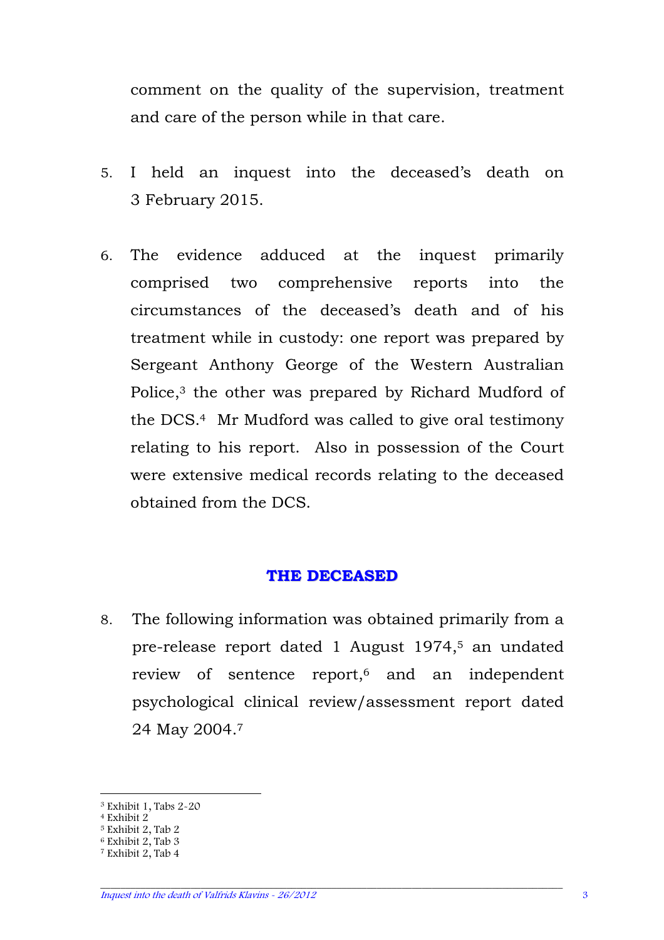comment on the quality of the supervision, treatment and care of the person while in that care.

- 5. I held an inquest into the deceased's death on 3 February 2015.
- 6. The evidence adduced at the inquest primarily comprised two comprehensive reports into the circumstances of the deceased's death and of his treatment while in custody: one report was prepared by Sergeant Anthony George of the Western Australian Police,3 the other was prepared by Richard Mudford of the DCS.4 Mr Mudford was called to give oral testimony relating to his report. Also in possession of the Court were extensive medical records relating to the deceased obtained from the DCS.

## **THE DECEASED**

8. The following information was obtained primarily from a pre-release report dated 1 August 1974,5 an undated review of sentence report,6 and an independent psychological clinical review/assessment report dated 24 May 2004.<sup>7</sup>

<sup>4</sup> Exhibit 2

 $\overline{a}$ 

<sup>5</sup> Exhibit 2, Tab 2

 $\Box$ Inquest into the death of Valfrids Klavins - 26/2012 3

<sup>3</sup> Exhibit 1, Tabs 2-20

<sup>6</sup> Exhibit 2, Tab 3

<sup>7</sup> Exhibit 2, Tab 4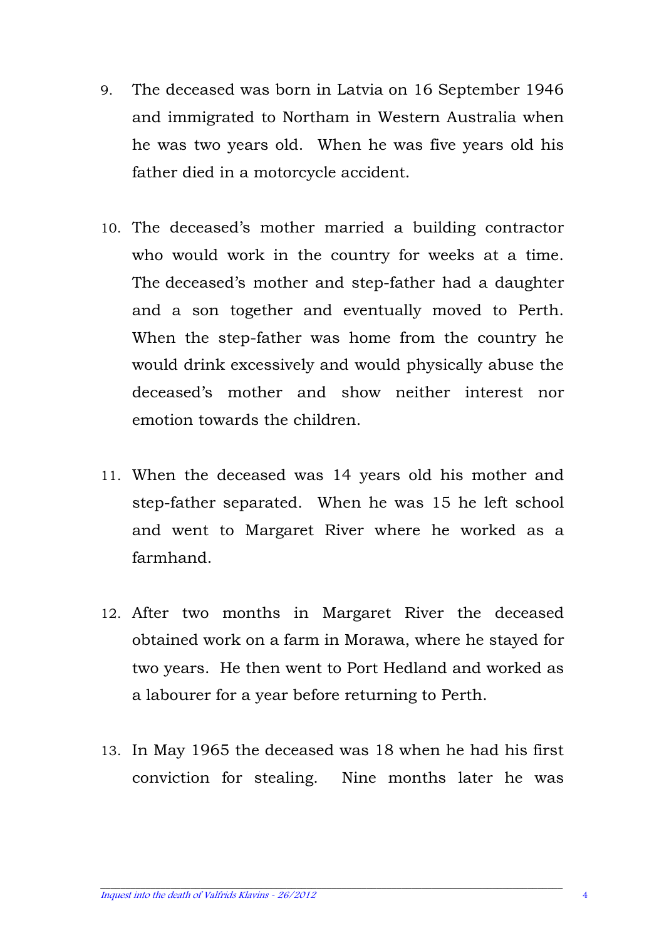- 9. The deceased was born in Latvia on 16 September 1946 and immigrated to Northam in Western Australia when he was two years old. When he was five years old his father died in a motorcycle accident.
- 10. The deceased's mother married a building contractor who would work in the country for weeks at a time. The deceased's mother and step-father had a daughter and a son together and eventually moved to Perth. When the step-father was home from the country he would drink excessively and would physically abuse the deceased's mother and show neither interest nor emotion towards the children.
- 11. When the deceased was 14 years old his mother and step-father separated. When he was 15 he left school and went to Margaret River where he worked as a farmhand.
- 12. After two months in Margaret River the deceased obtained work on a farm in Morawa, where he stayed for two years. He then went to Port Hedland and worked as a labourer for a year before returning to Perth.
- 13. In May 1965 the deceased was 18 when he had his first conviction for stealing. Nine months later he was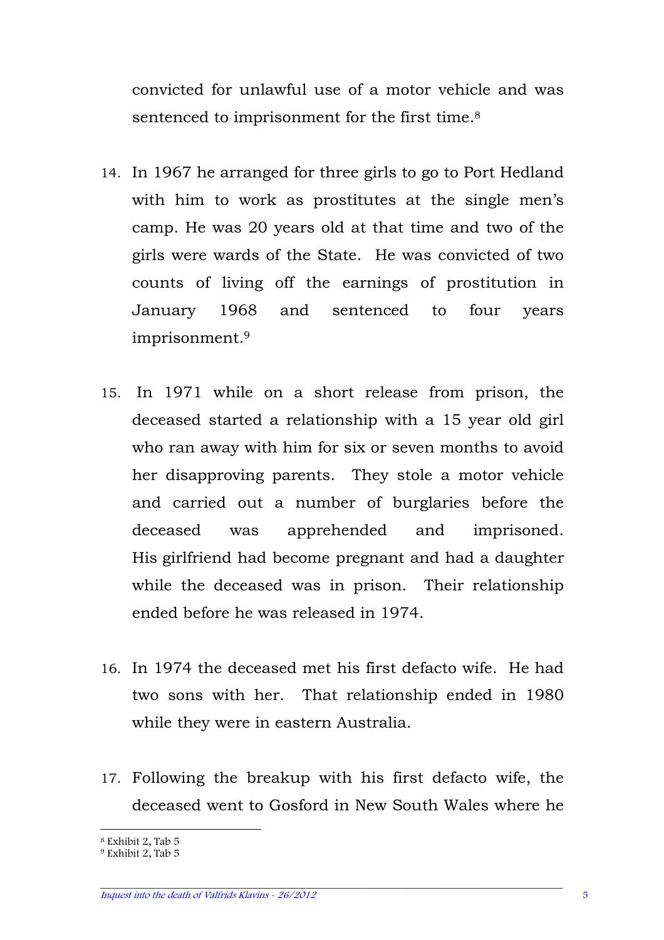convicted for unlawful use of a motor vehicle and was sentenced to imprisonment for the first time.<sup>8</sup>

- 14. In 1967 he arranged for three girls to go to Port Hedland with him to work as prostitutes at the single men's camp. He was 20 years old at that time and two of the girls were wards of the State. He was convicted of two counts of living off the earnings of prostitution in January 1968 and sentenced to four years imprisonment.<sup>9</sup>
- 15. In 1971 while on a short release from prison, the deceased started a relationship with a 15 year old girl who ran away with him for six or seven months to avoid her disapproving parents. They stole a motor vehicle and carried out a number of burglaries before the deceased was apprehended and imprisoned. His girlfriend had become pregnant and had a daughter while the deceased was in prison. Their relationship ended before he was released in 1974.
- 16. In 1974 the deceased met his first defacto wife. He had two sons with her. That relationship ended in 1980 while they were in eastern Australia.
- 17. Following the breakup with his first defacto wife, the deceased went to Gosford in New South Wales where he

 $\overline{a}$ <sup>8</sup> Exhibit 2, Tab 5

<sup>9</sup> Exhibit 2, Tab 5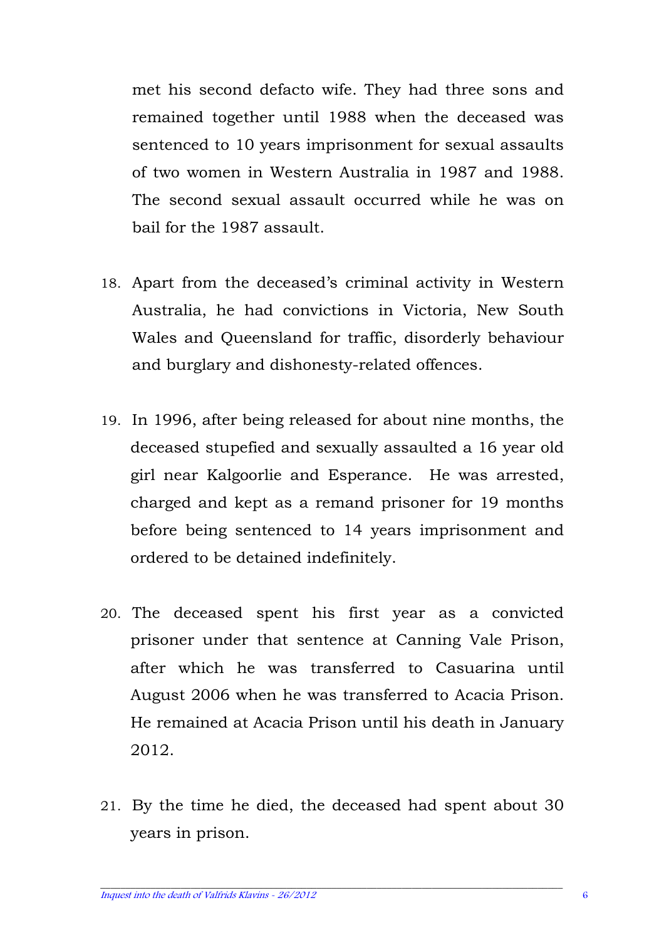met his second defacto wife. They had three sons and remained together until 1988 when the deceased was sentenced to 10 years imprisonment for sexual assaults of two women in Western Australia in 1987 and 1988. The second sexual assault occurred while he was on bail for the 1987 assault.

- 18. Apart from the deceased's criminal activity in Western Australia, he had convictions in Victoria, New South Wales and Queensland for traffic, disorderly behaviour and burglary and dishonesty-related offences.
- 19. In 1996, after being released for about nine months, the deceased stupefied and sexually assaulted a 16 year old girl near Kalgoorlie and Esperance. He was arrested, charged and kept as a remand prisoner for 19 months before being sentenced to 14 years imprisonment and ordered to be detained indefinitely.
- 20. The deceased spent his first year as a convicted prisoner under that sentence at Canning Vale Prison, after which he was transferred to Casuarina until August 2006 when he was transferred to Acacia Prison. He remained at Acacia Prison until his death in January 2012.
- 21. By the time he died, the deceased had spent about 30 years in prison.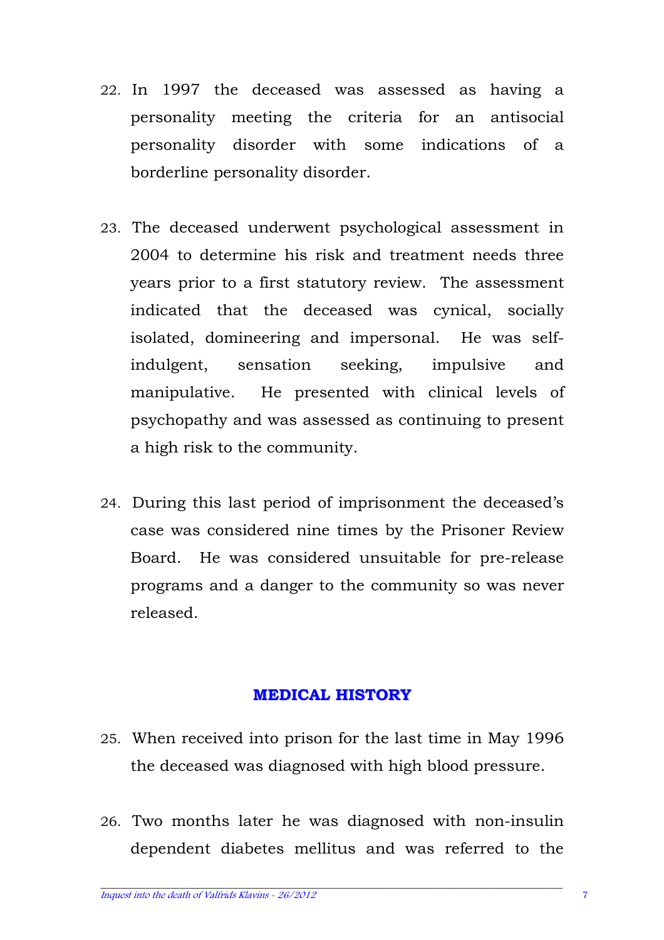- 22. In 1997 the deceased was assessed as having a personality meeting the criteria for an antisocial personality disorder with some indications of a borderline personality disorder.
- 23. The deceased underwent psychological assessment in 2004 to determine his risk and treatment needs three years prior to a first statutory review. The assessment indicated that the deceased was cynical, socially isolated, domineering and impersonal. He was selfindulgent, sensation seeking, impulsive and manipulative. He presented with clinical levels of psychopathy and was assessed as continuing to present a high risk to the community.
- 24. During this last period of imprisonment the deceased's case was considered nine times by the Prisoner Review Board. He was considered unsuitable for pre-release programs and a danger to the community so was never released.

## **MEDICAL HISTORY**

- 25. When received into prison for the last time in May 1996 the deceased was diagnosed with high blood pressure.
- 26. Two months later he was diagnosed with non-insulin dependent diabetes mellitus and was referred to the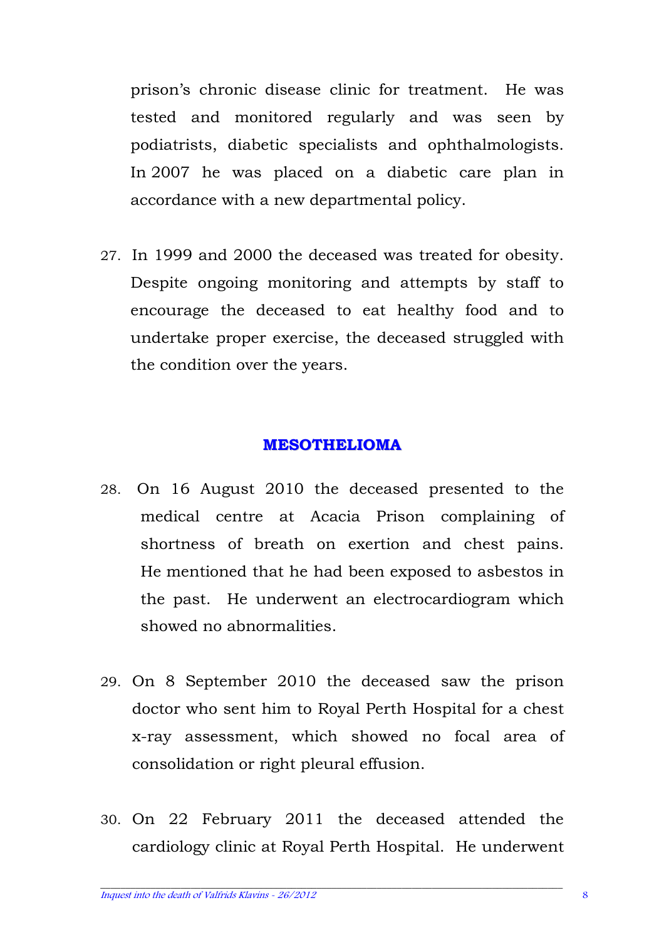prison's chronic disease clinic for treatment. He was tested and monitored regularly and was seen by podiatrists, diabetic specialists and ophthalmologists. In 2007 he was placed on a diabetic care plan in accordance with a new departmental policy.

27. In 1999 and 2000 the deceased was treated for obesity. Despite ongoing monitoring and attempts by staff to encourage the deceased to eat healthy food and to undertake proper exercise, the deceased struggled with the condition over the years.

#### **MESOTHELIOMA**

- 28. On 16 August 2010 the deceased presented to the medical centre at Acacia Prison complaining of shortness of breath on exertion and chest pains. He mentioned that he had been exposed to asbestos in the past. He underwent an electrocardiogram which showed no abnormalities.
- 29. On 8 September 2010 the deceased saw the prison doctor who sent him to Royal Perth Hospital for a chest x-ray assessment, which showed no focal area of consolidation or right pleural effusion.
- 30. On 22 February 2011 the deceased attended the cardiology clinic at Royal Perth Hospital. He underwent

 $\Box$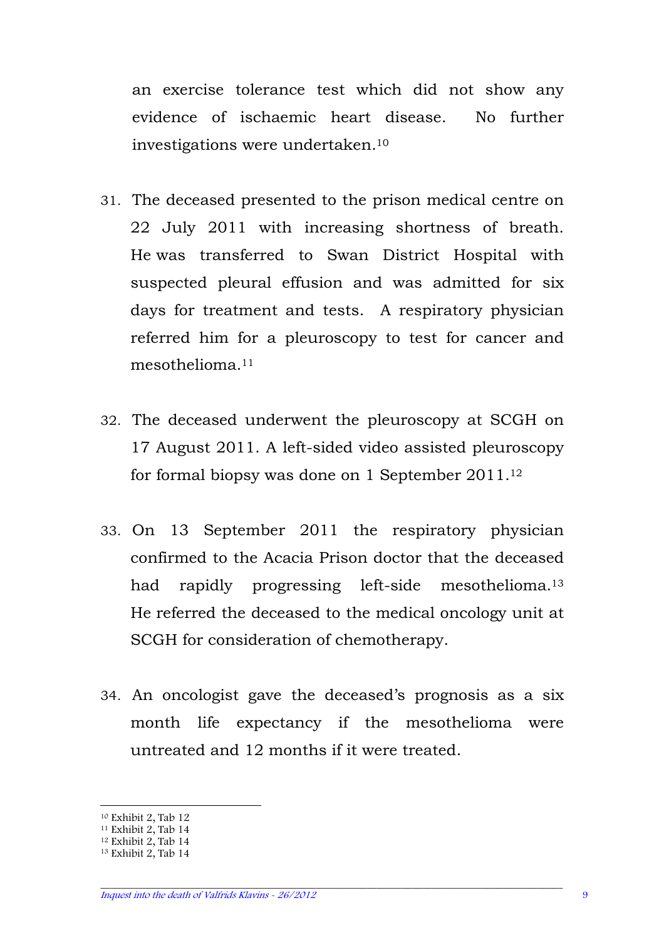an exercise tolerance test which did not show any evidence of ischaemic heart disease. No further investigations were undertaken.<sup>10</sup>

- 31. The deceased presented to the prison medical centre on 22 July 2011 with increasing shortness of breath. He was transferred to Swan District Hospital with suspected pleural effusion and was admitted for six days for treatment and tests. A respiratory physician referred him for a pleuroscopy to test for cancer and mesothelioma.<sup>11</sup>
- 32. The deceased underwent the pleuroscopy at SCGH on 17 August 2011. A left-sided video assisted pleuroscopy for formal biopsy was done on 1 September 2011.<sup>12</sup>
- 33. On 13 September 2011 the respiratory physician confirmed to the Acacia Prison doctor that the deceased had rapidly progressing left-side mesothelioma.<sup>13</sup> He referred the deceased to the medical oncology unit at SCGH for consideration of chemotherapy.
- 34. An oncologist gave the deceased's prognosis as a six month life expectancy if the mesothelioma were untreated and 12 months if it were treated.

 $\Box$ 

 $\overline{a}$ 

<sup>10</sup> Exhibit 2, Tab 12

 $11$  Exhibit 2, Tab 14

<sup>&</sup>lt;sup>12</sup> Exhibit 2, Tab 14

<sup>13</sup> Exhibit 2, Tab 14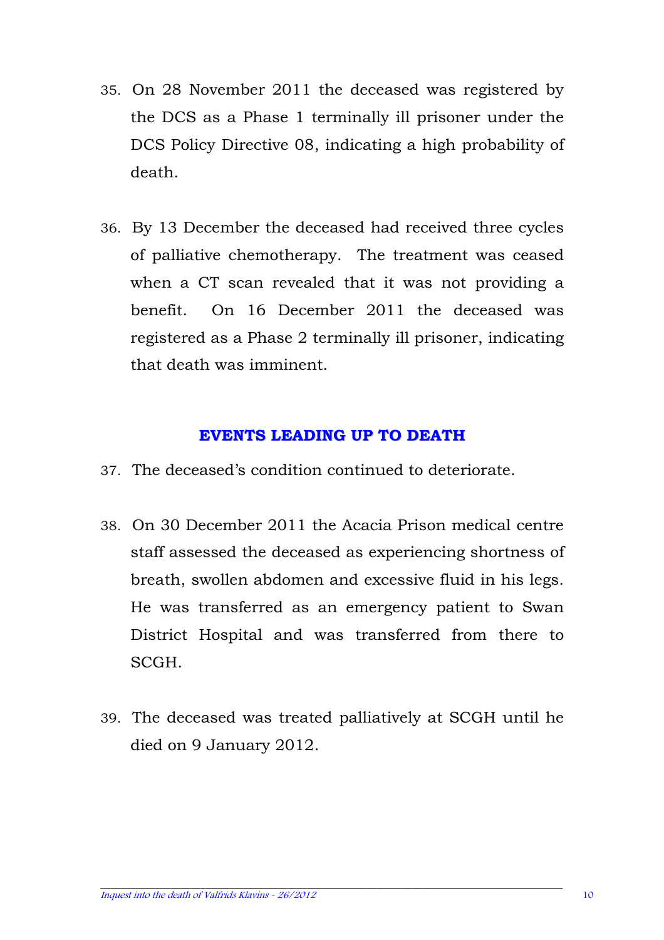- 35. On 28 November 2011 the deceased was registered by the DCS as a Phase 1 terminally ill prisoner under the DCS Policy Directive 08, indicating a high probability of death.
- 36. By 13 December the deceased had received three cycles of palliative chemotherapy. The treatment was ceased when a CT scan revealed that it was not providing a benefit. On 16 December 2011 the deceased was registered as a Phase 2 terminally ill prisoner, indicating that death was imminent.

## **EVENTS LEADING UP TO DEATH**

- 37. The deceased's condition continued to deteriorate.
- 38. On 30 December 2011 the Acacia Prison medical centre staff assessed the deceased as experiencing shortness of breath, swollen abdomen and excessive fluid in his legs. He was transferred as an emergency patient to Swan District Hospital and was transferred from there to SCGH.
- 39. The deceased was treated palliatively at SCGH until he died on 9 January 2012.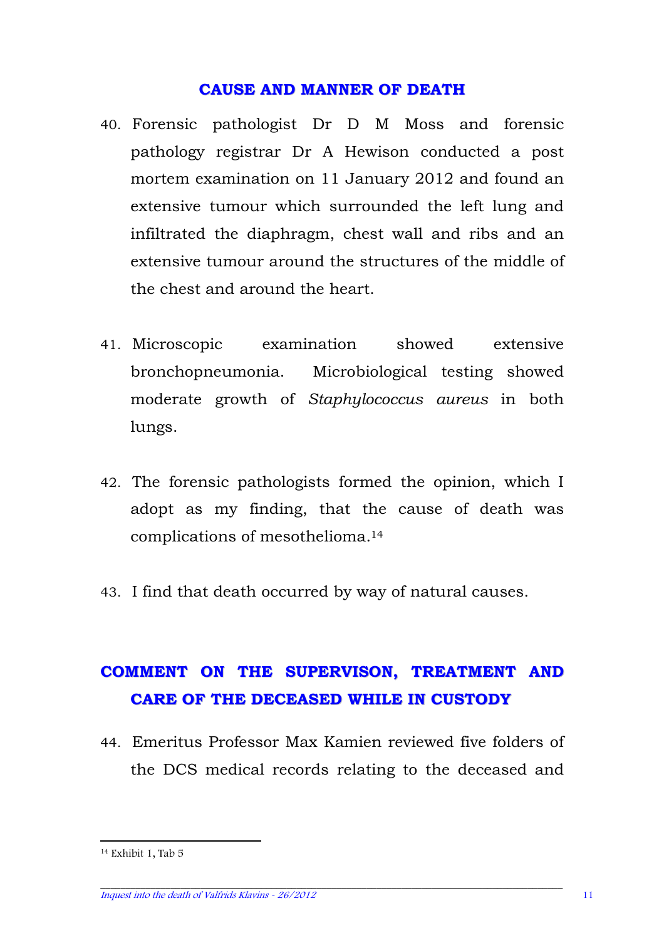## **CAUSE AND MANNER OF DEATH**

- 40. Forensic pathologist Dr D M Moss and forensic pathology registrar Dr A Hewison conducted a post mortem examination on 11 January 2012 and found an extensive tumour which surrounded the left lung and infiltrated the diaphragm, chest wall and ribs and an extensive tumour around the structures of the middle of the chest and around the heart.
- 41. Microscopic examination showed extensive bronchopneumonia. Microbiological testing showed moderate growth of *Staphylococcus aureus* in both lungs.
- 42. The forensic pathologists formed the opinion, which I adopt as my finding, that the cause of death was complications of mesothelioma.<sup>14</sup>
- 43. I find that death occurred by way of natural causes.

# **COMMENT ON THE SUPERVISON, TREATMENT AND CARE OF THE DECEASED WHILE IN CUSTODY**

44. Emeritus Professor Max Kamien reviewed five folders of the DCS medical records relating to the deceased and

 $\Box$ 

l 14 Exhibit 1, Tab 5

Inquest into the death of Valfrids Klavins  $-26/2012$  11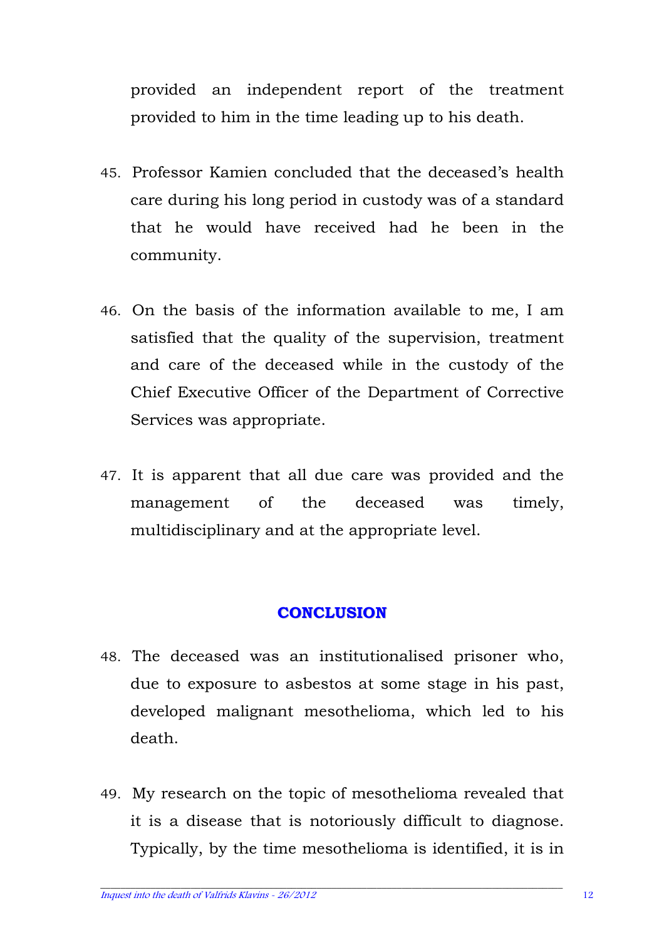provided an independent report of the treatment provided to him in the time leading up to his death.

- 45. Professor Kamien concluded that the deceased's health care during his long period in custody was of a standard that he would have received had he been in the community.
- 46. On the basis of the information available to me, I am satisfied that the quality of the supervision, treatment and care of the deceased while in the custody of the Chief Executive Officer of the Department of Corrective Services was appropriate.
- 47. It is apparent that all due care was provided and the management of the deceased was timely, multidisciplinary and at the appropriate level.

# **CONCLUSION**

- 48. The deceased was an institutionalised prisoner who, due to exposure to asbestos at some stage in his past, developed malignant mesothelioma, which led to his death.
- 49. My research on the topic of mesothelioma revealed that it is a disease that is notoriously difficult to diagnose. Typically, by the time mesothelioma is identified, it is in